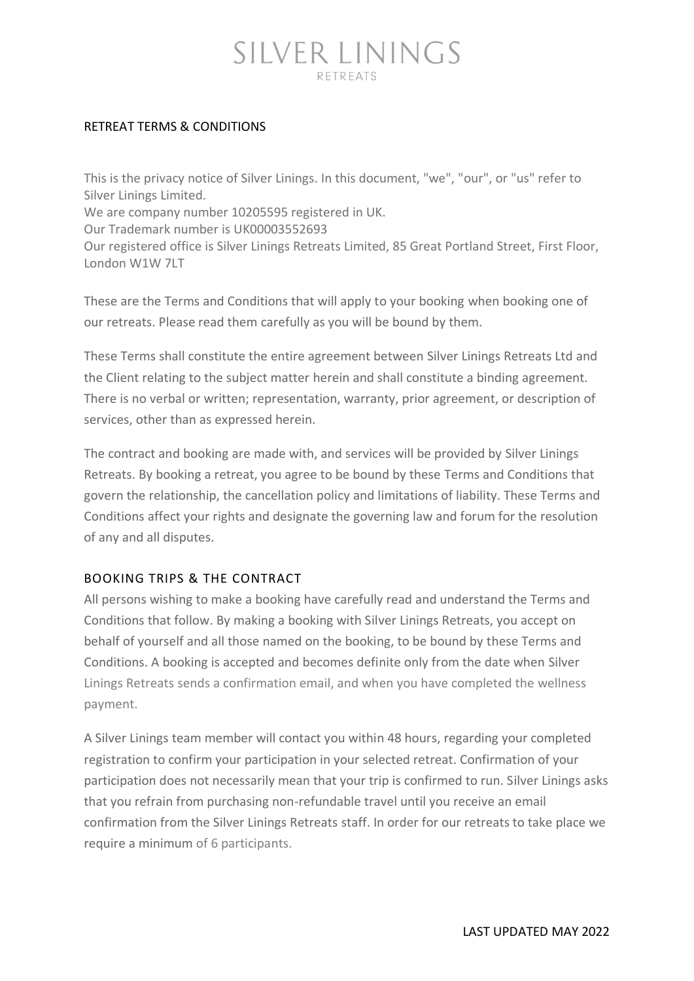#### RETREAT TERMS & CONDITIONS

This is the privacy notice of Silver Linings. In this document, "we", "our", or "us" refer to Silver Linings Limited. We are company number 10205595 registered in UK. Our Trademark number is UK00003552693 Our registered office is Silver Linings Retreats Limited, 85 Great Portland Street, First Floor, London W1W 7LT

These are the Terms and Conditions that will apply to your booking when booking one of our retreats. Please read them carefully as you will be bound by them.

These Terms shall constitute the entire agreement between Silver Linings Retreats Ltd and the Client relating to the subject matter herein and shall constitute a binding agreement. There is no verbal or written; representation, warranty, prior agreement, or description of services, other than as expressed herein.

The contract and booking are made with, and services will be provided by Silver Linings Retreats. By booking a retreat, you agree to be bound by these Terms and Conditions that govern the relationship, the cancellation policy and limitations of liability. These Terms and Conditions affect your rights and designate the governing law and forum for the resolution of any and all disputes.

#### BOOKING TRIPS & THE CONTRACT

All persons wishing to make a booking have carefully read and understand the Terms and Conditions that follow. By making a booking with Silver Linings Retreats, you accept on behalf of yourself and all those named on the booking, to be bound by these Terms and Conditions. A booking is accepted and becomes definite only from the date when Silver Linings Retreats sends a confirmation email, and when you have completed the wellness payment.

A Silver Linings team member will contact you within 48 hours, regarding your completed registration to confirm your participation in your selected retreat. Confirmation of your participation does not necessarily mean that your trip is confirmed to run. Silver Linings asks that you refrain from purchasing non-refundable travel until you receive an email confirmation from the Silver Linings Retreats staff. In order for our retreats to take place we require a minimum of 6 participants.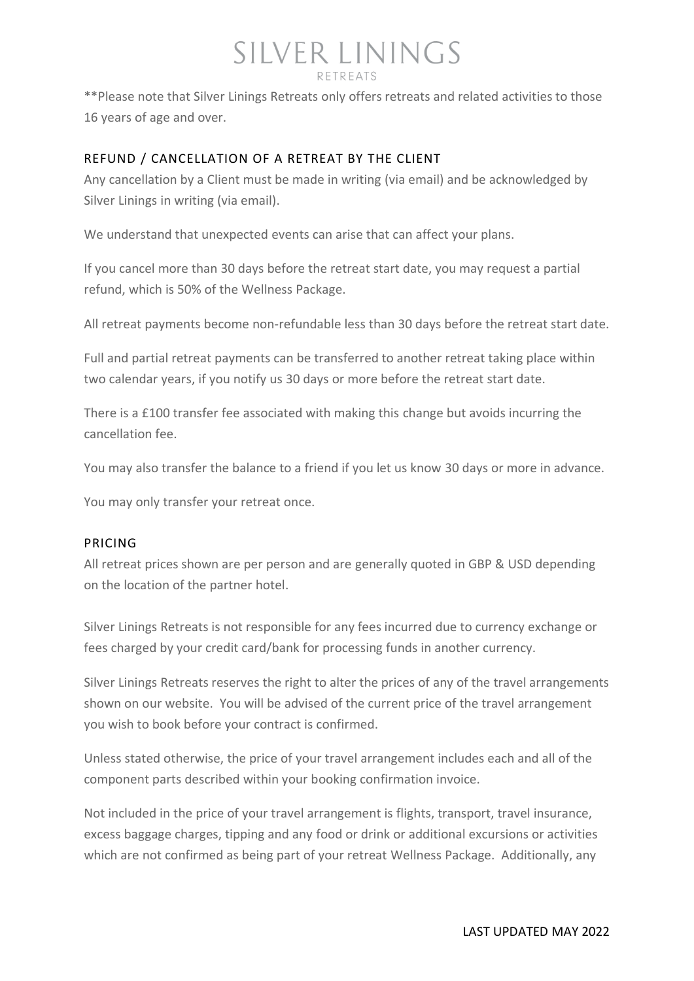## SILVER LININGS

\*\*Please note that Silver Linings Retreats only offers retreats and related activities to those 16 years of age and over.

#### REFUND / CANCELLATION OF A RETREAT BY THE CLIENT

Any cancellation by a Client must be made in writing (via email) and be acknowledged by Silver Linings in writing (via email).

We understand that unexpected events can arise that can affect your plans.

If you cancel more than 30 days before the retreat start date, you may request a partial refund, which is 50% of the Wellness Package.

All retreat payments become non-refundable less than 30 days before the retreat start date.

Full and partial retreat payments can be transferred to another retreat taking place within two calendar years, if you notify us 30 days or more before the retreat start date.

There is a £100 transfer fee associated with making this change but avoids incurring the cancellation fee.

You may also transfer the balance to a friend if you let us know 30 days or more in advance.

You may only transfer your retreat once.

#### PRICING

All retreat prices shown are per person and are generally quoted in GBP & USD depending on the location of the partner hotel.

Silver Linings Retreats is not responsible for any fees incurred due to currency exchange or fees charged by your credit card/bank for processing funds in another currency.

Silver Linings Retreats reserves the right to alter the prices of any of the travel arrangements shown on our website. You will be advised of the current price of the travel arrangement you wish to book before your contract is confirmed.

Unless stated otherwise, the price of your travel arrangement includes each and all of the component parts described within your booking confirmation invoice.

Not included in the price of your travel arrangement is flights, transport, travel insurance, excess baggage charges, tipping and any food or drink or additional excursions or activities which are not confirmed as being part of your retreat Wellness Package. Additionally, any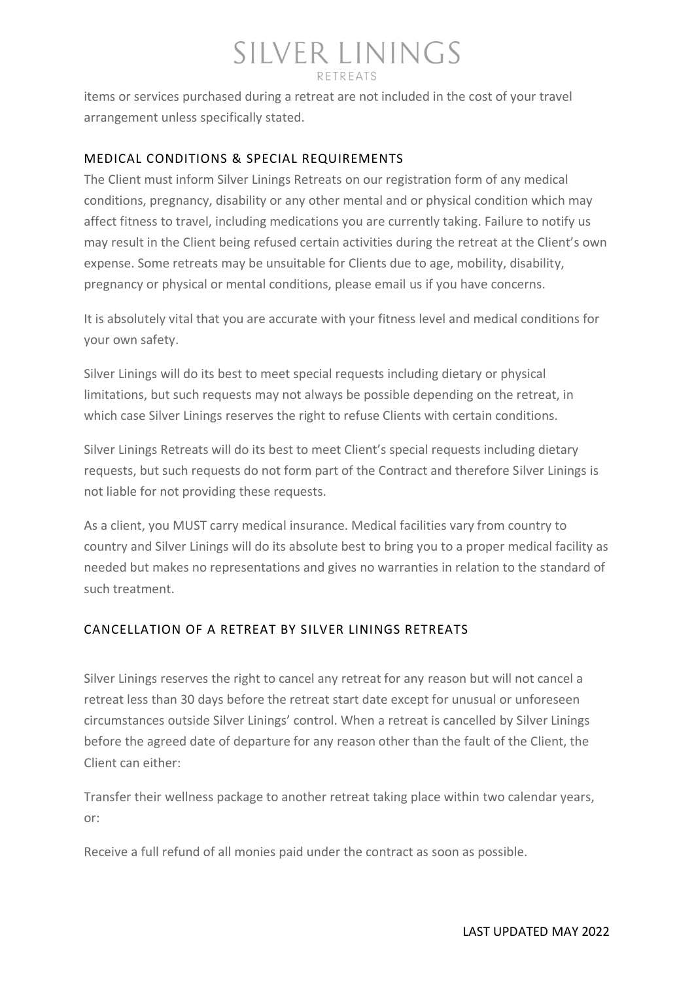items or services purchased during a retreat are not included in the cost of your travel arrangement unless specifically stated.

#### MEDICAL CONDITIONS & SPECIAL REQUIREMENTS

The Client must inform Silver Linings Retreats on our registration form of any medical conditions, pregnancy, disability or any other mental and or physical condition which may affect fitness to travel, including medications you are currently taking. Failure to notify us may result in the Client being refused certain activities during the retreat at the Client's own expense. Some retreats may be unsuitable for Clients due to age, mobility, disability, pregnancy or physical or mental conditions, please email us if you have concerns.

It is absolutely vital that you are accurate with your fitness level and medical conditions for your own safety.

Silver Linings will do its best to meet special requests including dietary or physical limitations, but such requests may not always be possible depending on the retreat, in which case Silver Linings reserves the right to refuse Clients with certain conditions.

Silver Linings Retreats will do its best to meet Client's special requests including dietary requests, but such requests do not form part of the Contract and therefore Silver Linings is not liable for not providing these requests.

As a client, you MUST carry medical insurance. Medical facilities vary from country to country and Silver Linings will do its absolute best to bring you to a proper medical facility as needed but makes no representations and gives no warranties in relation to the standard of such treatment.

#### CANCELLATION OF A RETREAT BY SILVER LININGS RETREATS

Silver Linings reserves the right to cancel any retreat for any reason but will not cancel a retreat less than 30 days before the retreat start date except for unusual or unforeseen circumstances outside Silver Linings' control. When a retreat is cancelled by Silver Linings before the agreed date of departure for any reason other than the fault of the Client, the Client can either:

Transfer their wellness package to another retreat taking place within two calendar years, or:

Receive a full refund of all monies paid under the contract as soon as possible.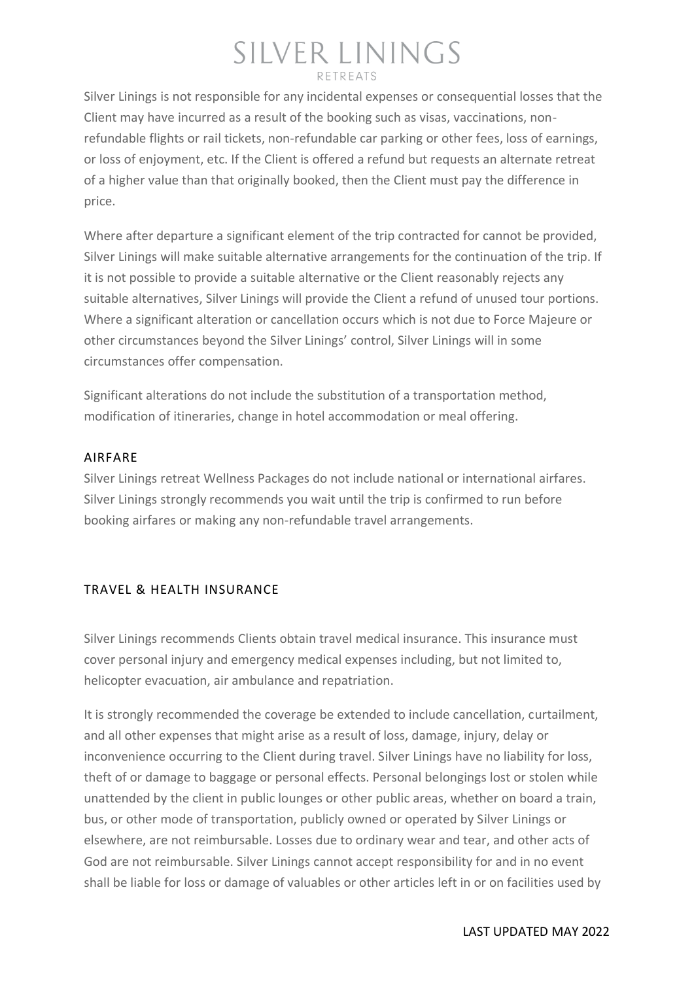Silver Linings is not responsible for any incidental expenses or consequential losses that the Client may have incurred as a result of the booking such as visas, vaccinations, nonrefundable flights or rail tickets, non-refundable car parking or other fees, loss of earnings, or loss of enjoyment, etc. If the Client is offered a refund but requests an alternate retreat of a higher value than that originally booked, then the Client must pay the difference in price.

Where after departure a significant element of the trip contracted for cannot be provided, Silver Linings will make suitable alternative arrangements for the continuation of the trip. If it is not possible to provide a suitable alternative or the Client reasonably rejects any suitable alternatives, Silver Linings will provide the Client a refund of unused tour portions. Where a significant alteration or cancellation occurs which is not due to Force Majeure or other circumstances beyond the Silver Linings' control, Silver Linings will in some circumstances offer compensation.

Significant alterations do not include the substitution of a transportation method, modification of itineraries, change in hotel accommodation or meal offering.

#### AIRFARE

Silver Linings retreat Wellness Packages do not include national or international airfares. Silver Linings strongly recommends you wait until the trip is confirmed to run before booking airfares or making any non-refundable travel arrangements.

#### TRAVEL & HEALTH INSURANCE

Silver Linings recommends Clients obtain travel medical insurance. This insurance must cover personal injury and emergency medical expenses including, but not limited to, helicopter evacuation, air ambulance and repatriation.

It is strongly recommended the coverage be extended to include cancellation, curtailment, and all other expenses that might arise as a result of loss, damage, injury, delay or inconvenience occurring to the Client during travel. Silver Linings have no liability for loss, theft of or damage to baggage or personal effects. Personal belongings lost or stolen while unattended by the client in public lounges or other public areas, whether on board a train, bus, or other mode of transportation, publicly owned or operated by Silver Linings or elsewhere, are not reimbursable. Losses due to ordinary wear and tear, and other acts of God are not reimbursable. Silver Linings cannot accept responsibility for and in no event shall be liable for loss or damage of valuables or other articles left in or on facilities used by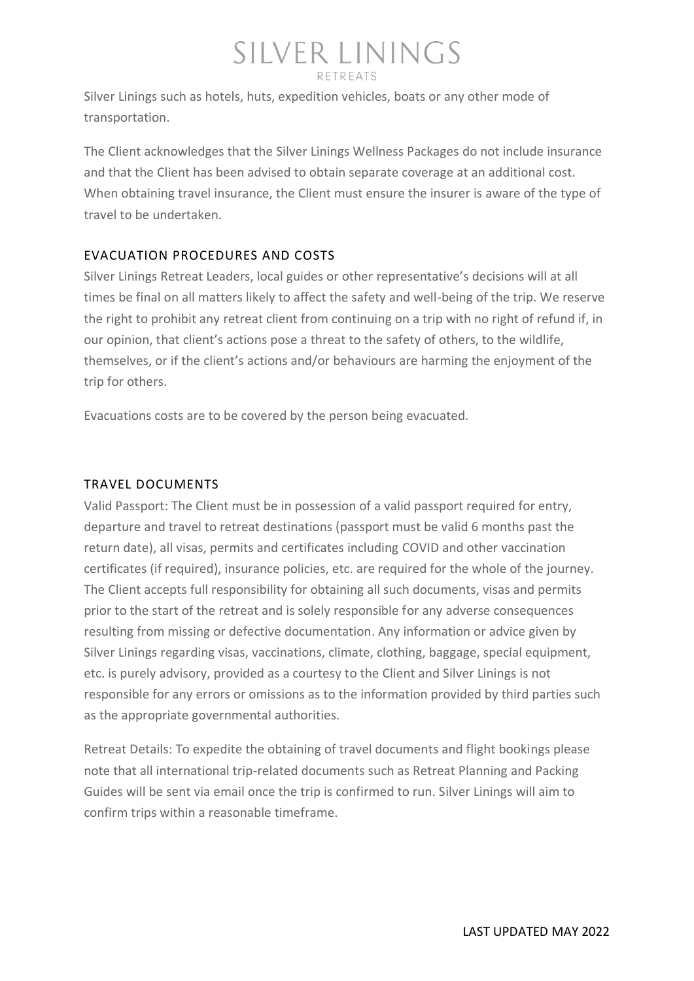Silver Linings such as hotels, huts, expedition vehicles, boats or any other mode of transportation.

The Client acknowledges that the Silver Linings Wellness Packages do not include insurance and that the Client has been advised to obtain separate coverage at an additional cost. When obtaining travel insurance, the Client must ensure the insurer is aware of the type of travel to be undertaken.

#### EVACUATION PROCEDURES AND COSTS

Silver Linings Retreat Leaders, local guides or other representative's decisions will at all times be final on all matters likely to affect the safety and well-being of the trip. We reserve the right to prohibit any retreat client from continuing on a trip with no right of refund if, in our opinion, that client's actions pose a threat to the safety of others, to the wildlife, themselves, or if the client's actions and/or behaviours are harming the enjoyment of the trip for others.

Evacuations costs are to be covered by the person being evacuated.

#### TRAVEL DOCUMENTS

Valid Passport: The Client must be in possession of a valid passport required for entry, departure and travel to retreat destinations (passport must be valid 6 months past the return date), all visas, permits and certificates including COVID and other vaccination certificates (if required), insurance policies, etc. are required for the whole of the journey. The Client accepts full responsibility for obtaining all such documents, visas and permits prior to the start of the retreat and is solely responsible for any adverse consequences resulting from missing or defective documentation. Any information or advice given by Silver Linings regarding visas, vaccinations, climate, clothing, baggage, special equipment, etc. is purely advisory, provided as a courtesy to the Client and Silver Linings is not responsible for any errors or omissions as to the information provided by third parties such as the appropriate governmental authorities.

Retreat Details: To expedite the obtaining of travel documents and flight bookings please note that all international trip-related documents such as Retreat Planning and Packing Guides will be sent via email once the trip is confirmed to run. Silver Linings will aim to confirm trips within a reasonable timeframe.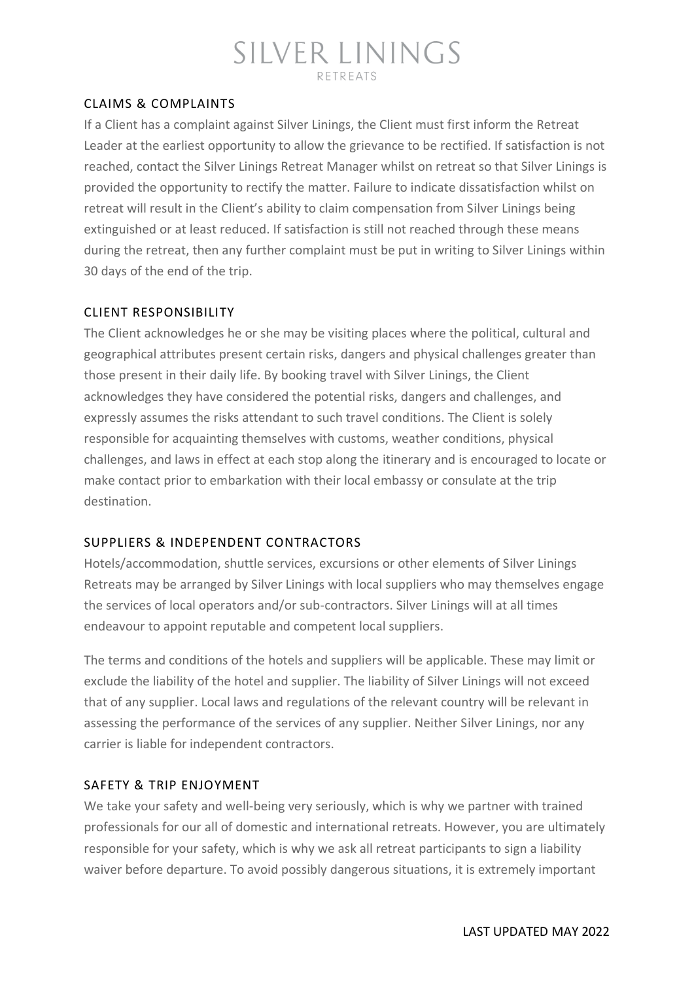# SILVER LININGS

#### CLAIMS & COMPLAINTS

If a Client has a complaint against Silver Linings, the Client must first inform the Retreat Leader at the earliest opportunity to allow the grievance to be rectified. If satisfaction is not reached, contact the Silver Linings Retreat Manager whilst on retreat so that Silver Linings is provided the opportunity to rectify the matter. Failure to indicate dissatisfaction whilst on retreat will result in the Client's ability to claim compensation from Silver Linings being extinguished or at least reduced. If satisfaction is still not reached through these means during the retreat, then any further complaint must be put in writing to Silver Linings within 30 days of the end of the trip.

#### CLIENT RESPONSIBILITY

The Client acknowledges he or she may be visiting places where the political, cultural and geographical attributes present certain risks, dangers and physical challenges greater than those present in their daily life. By booking travel with Silver Linings, the Client acknowledges they have considered the potential risks, dangers and challenges, and expressly assumes the risks attendant to such travel conditions. The Client is solely responsible for acquainting themselves with customs, weather conditions, physical challenges, and laws in effect at each stop along the itinerary and is encouraged to locate or make contact prior to embarkation with their local embassy or consulate at the trip destination.

#### SUPPLIERS & INDEPENDENT CONTRACTORS

Hotels/accommodation, shuttle services, excursions or other elements of Silver Linings Retreats may be arranged by Silver Linings with local suppliers who may themselves engage the services of local operators and/or sub-contractors. Silver Linings will at all times endeavour to appoint reputable and competent local suppliers.

The terms and conditions of the hotels and suppliers will be applicable. These may limit or exclude the liability of the hotel and supplier. The liability of Silver Linings will not exceed that of any supplier. Local laws and regulations of the relevant country will be relevant in assessing the performance of the services of any supplier. Neither Silver Linings, nor any carrier is liable for independent contractors.

#### SAFETY & TRIP ENJOYMENT

We take your safety and well-being very seriously, which is why we partner with trained professionals for our all of domestic and international retreats. However, you are ultimately responsible for your safety, which is why we ask all retreat participants to sign a liability waiver before departure. To avoid possibly dangerous situations, it is extremely important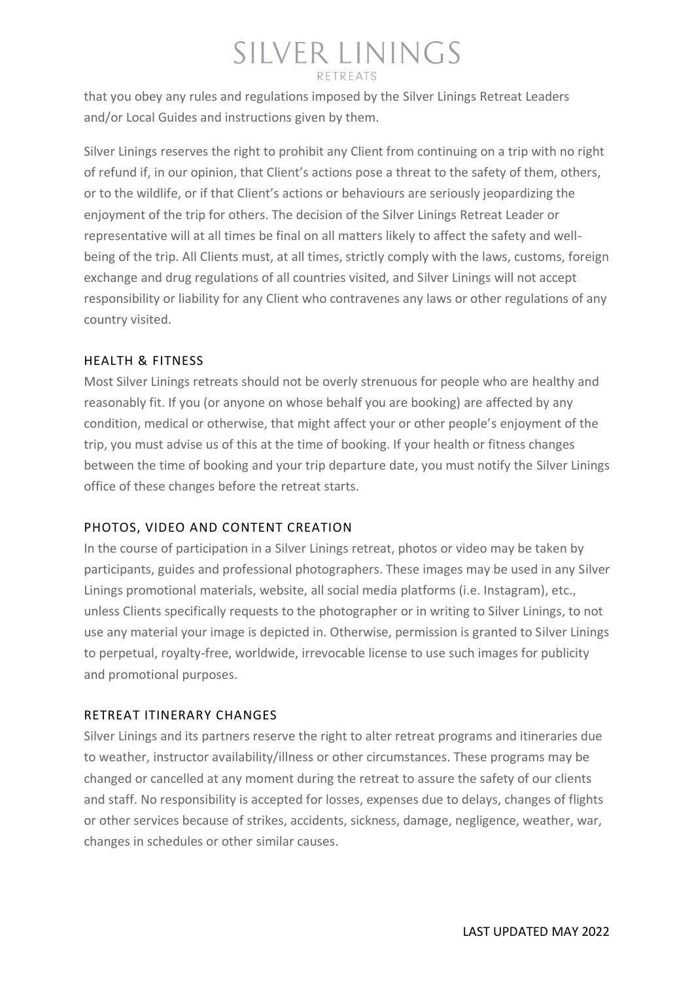that you obey any rules and regulations imposed by the Silver Linings Retreat Leaders and/or Local Guides and instructions given by them.

Silver Linings reserves the right to prohibit any Client from continuing on a trip with no right of refund if, in our opinion, that Client's actions pose a threat to the safety of them, others, or to the wildlife, or if that Client's actions or behaviours are seriously jeopardizing the enjoyment of the trip for others. The decision of the Silver Linings Retreat Leader or representative will at all times be final on all matters likely to affect the safety and wellbeing of the trip. All Clients must, at all times, strictly comply with the laws, customs, foreign exchange and drug regulations of all countries visited, and Silver Linings will not accept responsibility or liability for any Client who contravenes any laws or other regulations of any country visited.

#### HEALTH & FITNESS

Most Silver Linings retreats should not be overly strenuous for people who are healthy and reasonably fit. If you (or anyone on whose behalf you are booking) are affected by any condition, medical or otherwise, that might affect your or other people's enjoyment of the trip, you must advise us of this at the time of booking. If your health or fitness changes between the time of booking and your trip departure date, you must notify the Silver Linings office of these changes before the retreat starts.

#### PHOTOS, VIDEO AND CONTENT CREATION

In the course of participation in a Silver Linings retreat, photos or video may be taken by participants, guides and professional photographers. These images may be used in any Silver Linings promotional materials, website, all social media platforms (i.e. Instagram), etc., unless Clients specifically requests to the photographer or in writing to Silver Linings, to not use any material your image is depicted in. Otherwise, permission is granted to Silver Linings to perpetual, royalty-free, worldwide, irrevocable license to use such images for publicity and promotional purposes.

#### RETREAT ITINERARY CHANGES

Silver Linings and its partners reserve the right to alter retreat programs and itineraries due to weather, instructor availability/illness or other circumstances. These programs may be changed or cancelled at any moment during the retreat to assure the safety of our clients and staff. No responsibility is accepted for losses, expenses due to delays, changes of flights or other services because of strikes, accidents, sickness, damage, negligence, weather, war, changes in schedules or other similar causes.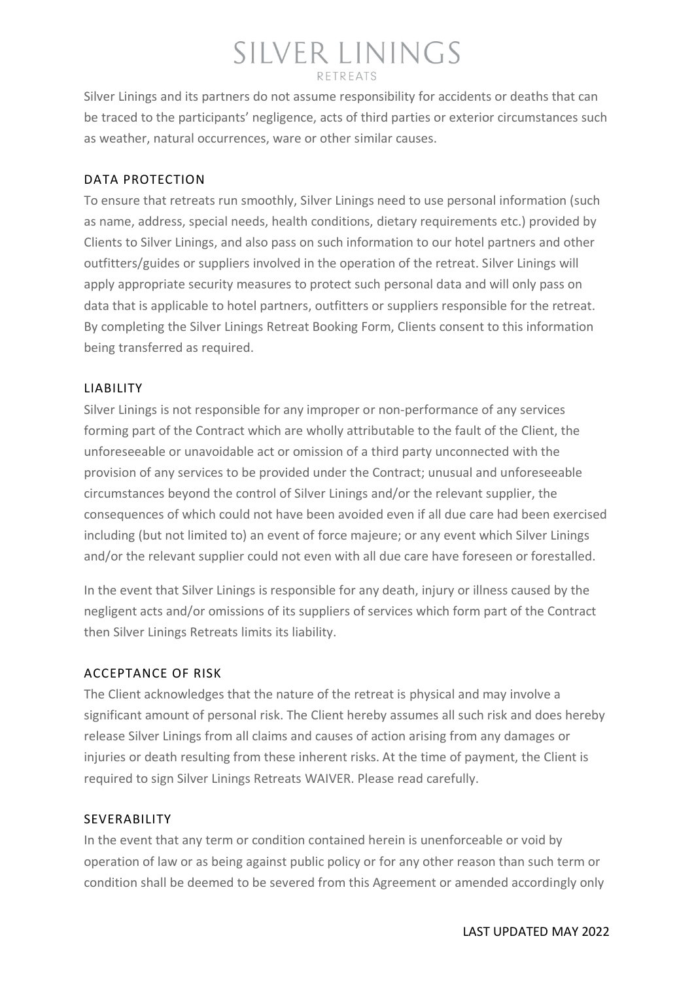Silver Linings and its partners do not assume responsibility for accidents or deaths that can be traced to the participants' negligence, acts of third parties or exterior circumstances such as weather, natural occurrences, ware or other similar causes.

#### DATA PROTECTION

To ensure that retreats run smoothly, Silver Linings need to use personal information (such as name, address, special needs, health conditions, dietary requirements etc.) provided by Clients to Silver Linings, and also pass on such information to our hotel partners and other outfitters/guides or suppliers involved in the operation of the retreat. Silver Linings will apply appropriate security measures to protect such personal data and will only pass on data that is applicable to hotel partners, outfitters or suppliers responsible for the retreat. By completing the Silver Linings Retreat Booking Form, Clients consent to this information being transferred as required.

#### LIABILITY

Silver Linings is not responsible for any improper or non-performance of any services forming part of the Contract which are wholly attributable to the fault of the Client, the unforeseeable or unavoidable act or omission of a third party unconnected with the provision of any services to be provided under the Contract; unusual and unforeseeable circumstances beyond the control of Silver Linings and/or the relevant supplier, the consequences of which could not have been avoided even if all due care had been exercised including (but not limited to) an event of force majeure; or any event which Silver Linings and/or the relevant supplier could not even with all due care have foreseen or forestalled.

In the event that Silver Linings is responsible for any death, injury or illness caused by the negligent acts and/or omissions of its suppliers of services which form part of the Contract then Silver Linings Retreats limits its liability.

#### ACCEPTANCE OF RISK

The Client acknowledges that the nature of the retreat is physical and may involve a significant amount of personal risk. The Client hereby assumes all such risk and does hereby release Silver Linings from all claims and causes of action arising from any damages or injuries or death resulting from these inherent risks. At the time of payment, the Client is required to sign Silver Linings Retreats WAIVER. Please read carefully.

#### SEVERABILITY

In the event that any term or condition contained herein is unenforceable or void by operation of law or as being against public policy or for any other reason than such term or condition shall be deemed to be severed from this Agreement or amended accordingly only